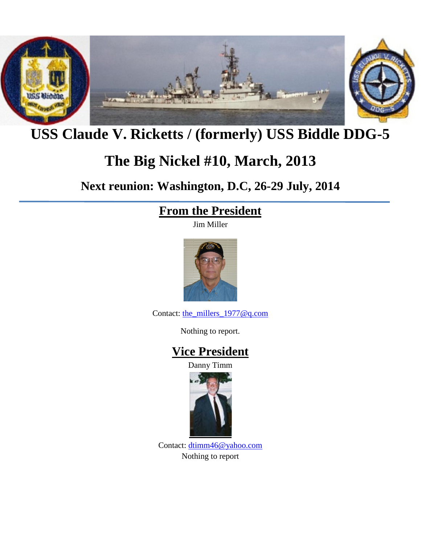

## **USS Claude V. Ricketts / (formerly) USS Biddle DDG-5**

## **The Big Nickel #10, March, 2013**

**Next reunion: Washington, D.C, 26-29 July, 2014**

## **From the President**

Jim Miller



Contact: [the\\_millers\\_1977@q.com](mailto:the_millers_1977@q.com)

Nothing to report.

## **Vice President**

Danny Timm



Contact: [dtimm46@yahoo.com](mailto:dtimm46@yahoo.com) Nothing to report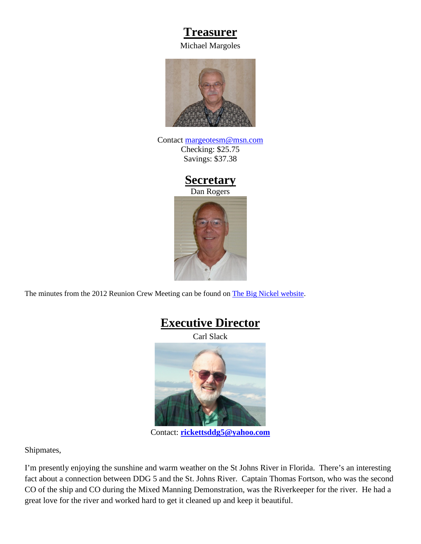#### **Treasurer**

Michael Margoles



Contact [margeotesm@msn.com](mailto:margeotesm@msn.com) Checking: \$25.75 Savings: \$37.38

#### **Secretary**

Dan Rogers



The minutes from the 2012 Reunion Crew Meeting can be found on [The Big Nickel website.](http://thebignickel.org/TheReunions/2012/CrewMeeting/Minutes/DDG-5_2012_Reunion_Busniess_Meetiing_Minutes.pdf)



Contact: **[rickettsddg5@yahoo.com](mailto:rickettsddg5@yahoo.com)**

Shipmates,

I'm presently enjoying the sunshine and warm weather on the St Johns River in Florida. There's an interesting fact about a connection between DDG 5 and the St. Johns River. Captain Thomas Fortson, who was the second CO of the ship and CO during the Mixed Manning Demonstration, was the Riverkeeper for the river. He had a great love for the river and worked hard to get it cleaned up and keep it beautiful.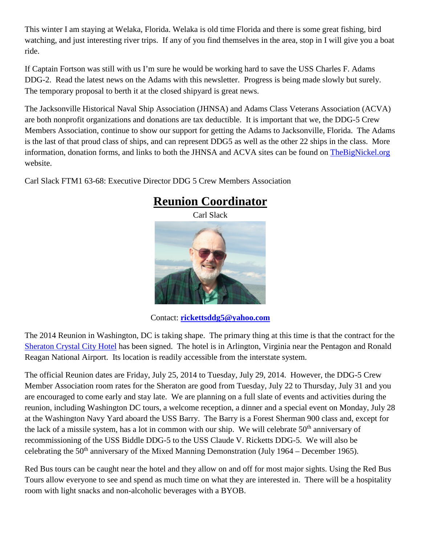This winter I am staying at Welaka, Florida. Welaka is old time Florida and there is some great fishing, bird watching, and just interesting river trips. If any of you find themselves in the area, stop in I will give you a boat ride.

If Captain Fortson was still with us I'm sure he would be working hard to save the USS Charles F. Adams DDG-2. Read the latest news on the Adams with this newsletter. Progress is being made slowly but surely. The temporary proposal to berth it at the closed shipyard is great news.

The Jacksonville Historical Naval Ship Association (JHNSA) and Adams Class Veterans Association (ACVA) are both nonprofit organizations and donations are tax deductible. It is important that we, the DDG-5 Crew Members Association, continue to show our support for getting the Adams to Jacksonville, Florida. The Adams is the last of that proud class of ships, and can represent DDG5 as well as the other 22 ships in the class. More information, donation forms, and links to both the JHNSA and ACVA sites can be found on [TheBigNickel.org](http://thebignickel.org/) website.

Carl Slack FTM1 63-68: Executive Director DDG 5 Crew Members Association



## **Reunion Coordinator**

Contact: **[rickettsddg5@yahoo.com](mailto:rickettsddg5@yahoo.com)**

The 2014 Reunion in Washington, DC is taking shape. The primary thing at this time is that the contract for the [Sheraton Crystal City Hotel](http://www.starwoodhotels.com/sheraton/property/overview/index.html?propertyID=741&EM=DWR_SI_SHERATONCRYSTALCITY.COM_741) has been signed. The hotel is in Arlington, Virginia near the Pentagon and Ronald Reagan National Airport. Its location is readily accessible from the interstate system.

The official Reunion dates are Friday, July 25, 2014 to Tuesday, July 29, 2014. However, the DDG-5 Crew Member Association room rates for the Sheraton are good from Tuesday, July 22 to Thursday, July 31 and you are encouraged to come early and stay late. We are planning on a full slate of events and activities during the reunion, including Washington DC tours, a welcome reception, a dinner and a special event on Monday, July 28 at the Washington Navy Yard aboard the USS Barry. The Barry is a Forest Sherman 900 class and, except for the lack of a missile system, has a lot in common with our ship. We will celebrate  $50<sup>th</sup>$  anniversary of recommissioning of the USS Biddle DDG-5 to the USS Claude V. Ricketts DDG-5. We will also be celebrating the  $50<sup>th</sup>$  anniversary of the Mixed Manning Demonstration (July 1964 – December 1965).

Red Bus tours can be caught near the hotel and they allow on and off for most major sights. Using the Red Bus Tours allow everyone to see and spend as much time on what they are interested in. There will be a hospitality room with light snacks and non-alcoholic beverages with a BYOB.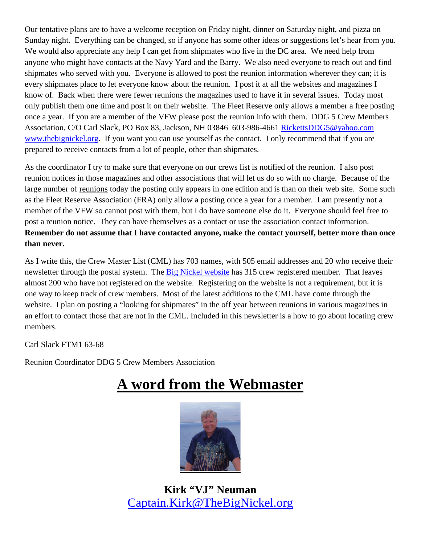Our tentative plans are to have a welcome reception on Friday night, dinner on Saturday night, and pizza on Sunday night. Everything can be changed, so if anyone has some other ideas or suggestions let's hear from you. We would also appreciate any help I can get from shipmates who live in the DC area. We need help from anyone who might have contacts at the Navy Yard and the Barry. We also need everyone to reach out and find shipmates who served with you. Everyone is allowed to post the reunion information wherever they can; it is every shipmates place to let everyone know about the reunion. I post it at all the websites and magazines I know of. Back when there were fewer reunions the magazines used to have it in several issues. Today most only publish them one time and post it on their website. The Fleet Reserve only allows a member a free posting once a year. If you are a member of the VFW please post the reunion info with them. DDG 5 Crew Members Association, C/O Carl Slack, PO Box 83, Jackson, NH 03846 603-986-4661 [RickettsDDG5@yahoo.com](mailto:RickettsDDG5@yahoo.com) [www.thebignickel.org.](http://www.thebignickel.org/) If you want you can use yourself as the contact. I only recommend that if you are prepared to receive contacts from a lot of people, other than shipmates.

As the coordinator I try to make sure that everyone on our crews list is notified of the reunion. I also post reunion notices in those magazines and other associations that will let us do so with no charge. Because of the large number of reunions today the posting only appears in one edition and is than on their web site. Some such as the Fleet Reserve Association (FRA) only allow a posting once a year for a member. I am presently not a member of the VFW so cannot post with them, but I do have someone else do it. Everyone should feel free to post a reunion notice. They can have themselves as a contact or use the association contact information. **Remember do not assume that I have contacted anyone, make the contact yourself, better more than once than never.**

As I write this, the Crew Master List (CML) has 703 names, with 505 email addresses and 20 who receive their newsletter through the postal system. The [Big Nickel website](http://thebignickel.org/) has 315 crew registered member. That leaves almost 200 who have not registered on the website. Registering on the website is not a requirement, but it is one way to keep track of crew members. Most of the latest additions to the CML have come through the website. I plan on posting a "looking for shipmates" in the off year between reunions in various magazines in an effort to contact those that are not in the CML. Included in this newsletter is a how to go about locating crew members.

Carl Slack FTM1 63-68

Reunion Coordinator DDG 5 Crew Members Association

# **A word from the Webmaster**



**Kirk "VJ" Neuman** [Captain.Kirk@TheBigNickel.org](mailto:Captain.Kirk@TheBigNickel.org)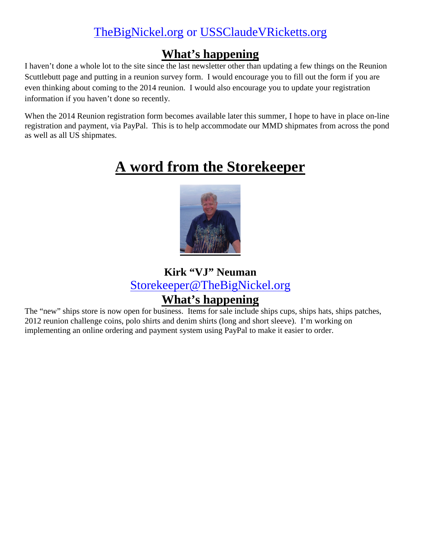## [TheBigNickel.org](http://thebignickel.org/) or [USSClaudeVRicketts.org](http://ussclaudevricketts.org/)

### **What's happening**

I haven't done a whole lot to the site since the last newsletter other than updating a few things on the Reunion Scuttlebutt page and putting in a reunion survey form. I would encourage you to fill out the form if you are even thinking about coming to the 2014 reunion. I would also encourage you to update your registration information if you haven't done so recently.

When the 2014 Reunion registration form becomes available later this summer, I hope to have in place on-line registration and payment, via PayPal. This is to help accommodate our MMD shipmates from across the pond as well as all US shipmates.

# **A word from the Storekeeper**



**Kirk "VJ" Neuman** [Storekeeper@TheBigNickel.org](mailto:Storekeeper@TheBigNickel.org)

## **What's happening**

The "new" ships store is now open for business. Items for sale include ships cups, ships hats, ships patches, 2012 reunion challenge coins, polo shirts and denim shirts (long and short sleeve). I'm working on implementing an online ordering and payment system using PayPal to make it easier to order.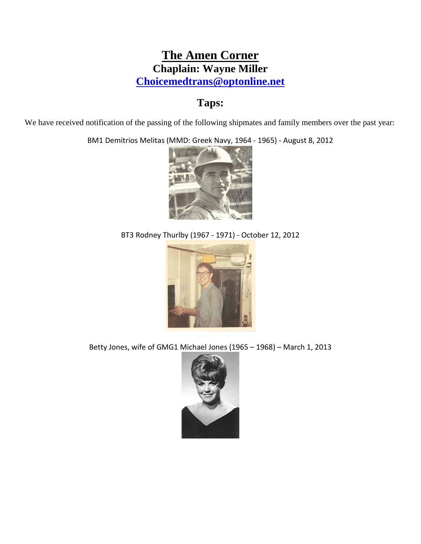#### **The Amen Corner Chaplain: Wayne Miller [Choicemedtrans@optonline.net](mailto:Choicemedtrans@optonline.net)**

#### **Taps:**

We have received notification of the passing of the following shipmates and family members over the past year:

BM1 Demitrios Melitas (MMD: Greek Navy, 1964 - 1965) - August 8, 2012



BT3 Rodney Thurlby (1967 - 1971) - October 12, 2012



Betty Jones, wife of GMG1 Michael Jones (1965 – 1968) – March 1, 2013

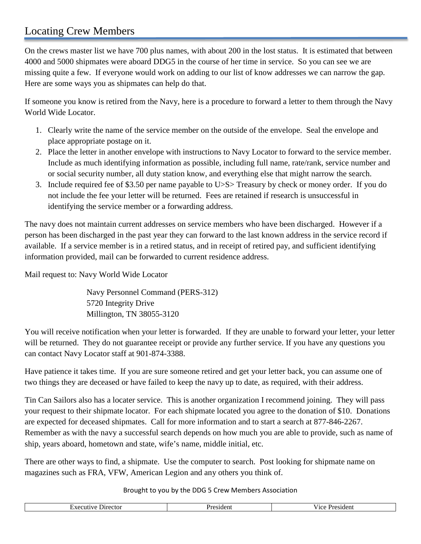#### Locating Crew Members

On the crews master list we have 700 plus names, with about 200 in the lost status. It is estimated that between 4000 and 5000 shipmates were aboard DDG5 in the course of her time in service. So you can see we are missing quite a few. If everyone would work on adding to our list of know addresses we can narrow the gap. Here are some ways you as shipmates can help do that.

If someone you know is retired from the Navy, here is a procedure to forward a letter to them through the Navy World Wide Locator.

- 1. Clearly write the name of the service member on the outside of the envelope. Seal the envelope and place appropriate postage on it.
- 2. Place the letter in another envelope with instructions to Navy Locator to forward to the service member. Include as much identifying information as possible, including full name, rate/rank, service number and or social security number, all duty station know, and everything else that might narrow the search.
- 3. Include required fee of \$3.50 per name payable to U>S> Treasury by check or money order. If you do not include the fee your letter will be returned. Fees are retained if research is unsuccessful in identifying the service member or a forwarding address.

The navy does not maintain current addresses on service members who have been discharged. However if a person has been discharged in the past year they can forward to the last known address in the service record if available. If a service member is in a retired status, and in receipt of retired pay, and sufficient identifying information provided, mail can be forwarded to current residence address.

Mail request to: Navy World Wide Locator

 Navy Personnel Command (PERS-312) 5720 Integrity Drive Millington, TN 38055-3120

You will receive notification when your letter is forwarded. If they are unable to forward your letter, your letter will be returned. They do not guarantee receipt or provide any further service. If you have any questions you can contact Navy Locator staff at 901-874-3388.

Have patience it takes time. If you are sure someone retired and get your letter back, you can assume one of two things they are deceased or have failed to keep the navy up to date, as required, with their address.

Tin Can Sailors also has a locater service. This is another organization I recommend joining. They will pass your request to their shipmate locator. For each shipmate located you agree to the donation of \$10. Donations are expected for deceased shipmates. Call for more information and to start a search at 877-846-2267. Remember as with the navy a successful search depends on how much you are able to provide, such as name of ship, years aboard, hometown and state, wife's name, middle initial, etc.

There are other ways to find, a shipmate. Use the computer to search. Post looking for shipmate name on magazines such as FRA, VFW, American Legion and any others you think of.

Brought to you by the DDG 5 Crew Members Association

| ЮI<br>. | .<br>21 H<br>81 O | . |
|---------|-------------------|---|